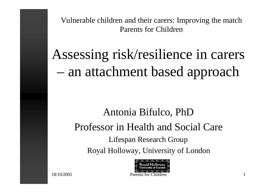Vulnerable children and their carers: Improving the match Parents for Children

Assessing risk/resilience in carers – an attachment based approach

### Antonia Bifulco, PhD Professor in Health and Social Care Lifespan Research Group Royal Holloway, University of London

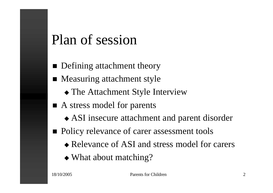### Plan of session

- $\blacksquare$  Defining attachment theory
- $\blacksquare$  Measuring attachment style
	- $\triangle$  The Attachment Style Interview
- $\blacksquare$  A stress model for parents
	- $\triangle$  ASI insecure attachment and parent disorder
- Policy relevance of carer assessment tools
	- $\bullet$  Relevance of ASI and stress model for carers
	- $\triangle$  What about matching?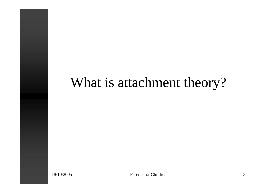### What is attachment theory?

18/10/2005 Parents for Children 3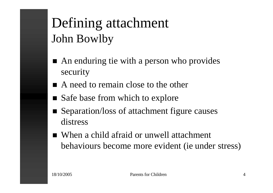### Defining attachment John Bowlby

- $\blacksquare$  An enduring tie with a person who provides security
- A need to remain close to the other
- Safe base from which to explore
- Separation/loss of attachment figure causes distress
- When a child afraid or unwell attachment behaviours become more evident (ie under stress)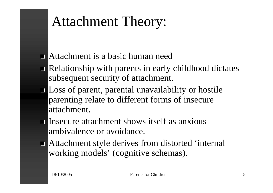### Attachment Theory:

- $\blacksquare$  Attachment is a basic human need
- $\blacksquare$  Relationship with parents in early childhood dictates subsequent security of attachment.
- **I** Loss of parent, parental unavailability or hostile parenting relate to different forms of insecure attachment.
- $\blacksquare$  Insecure attachment shows itself as anxious ambivalence or avoidance.
- $\blacksquare$  Attachment style derives from distorted 'internal working models' (cognitive schemas).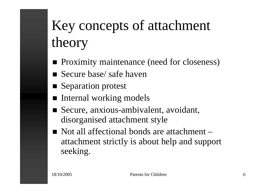# Key concepts of attachment theory

- **n** Proximity maintenance (need for closeness)
- Secure base/ safe haven
- Separation protest
- Internal working models
- Secure, anxious-ambivalent, avoidant, disorganised attachment style
- $\blacksquare$  Not all affectional bonds are attachment attachment strictly is about help and support seeking.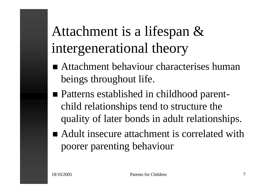# Attachment is a lifespan & intergenerational theory

- $\blacksquare$  Attachment behaviour characterises human beings throughout life.
- Patterns established in childhood parentchild relationships tend to structure the quality of later bonds in adult relationships.
- Adult insecure attachment is correlated with poorer parenting behaviour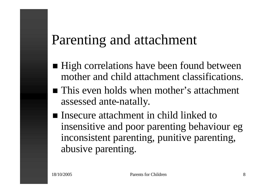### Parenting and attachment

- High correlations have been found between mother and child attachment classifications.
- $\blacksquare$  This even holds when mother's attachment assessed ante-natally.
- Insecure attachment in child linked to insensitive and poor parenting behaviour eg inconsistent parenting, punitive parenting, abusive parenting.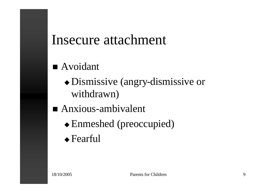### Insecure attachment

### $\blacksquare$  Avoidant

- $\bullet$  Dismissive (angry-dismissive or withdrawn)
- $A$ nxious-ambivalent
	- $\triangle$  Enmeshed (preoccupied)
	- $\triangle$  Fearful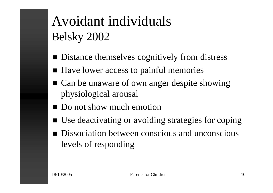## Avoidant individuals Belsky 2002

- $\blacksquare$  Distance themselves cognitively from distress
- $\blacksquare$  Have lower access to painful memories
- Can be unaware of own anger despite showing physiological arousal
- Do not show much emotion
- Use deactivating or avoiding strategies for coping
- Dissociation between conscious and unconscious levels of responding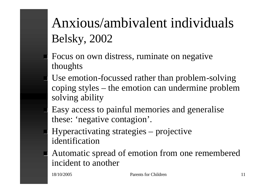## Anxious/ambivalent individuals Belsky, 2002

- Focus on own distress, ruminate on negative thoughts
- Use emotion-focussed rather than problem-solving coping styles – the emotion can undermine problem solving ability
- Easy access to painful memories and generalise these: 'negative contagion'.
- Hyperactivating strategies projective identification
- Automatic spread of emotion from one remembered incident to another

18/10/2005 Parents for Children 11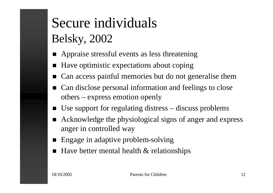## Secure individuals Belsky, 2002

- Appraise stressful events as less threatening
- Have optimistic expectations about coping
- Can access painful memories but do not generalise them
- Can disclose personal information and feelings to close others – express emotion openly
- $\blacksquare$  Use support for regulating distress discuss problems
- Acknowledge the physiological signs of anger and express anger in controlled way
- Engage in adaptive problem-solving
- $\blacksquare$  Have better mental health & relationships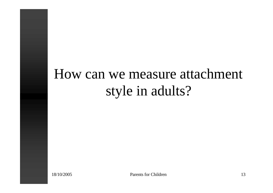### How can we measure attachment style in adults?

18/10/2005 Parents for Children 13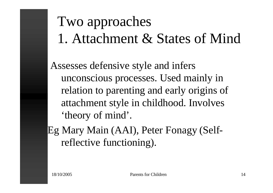# Two approaches 1. Attachment & States of Mind

Assesses defensive style and infers unconscious processes. Used mainly in relation to parenting and early origins of attachment style in childhood. Involves 'theory of mind'.

Eg Mary Main (AAI), Peter Fonagy (Selfreflective functioning).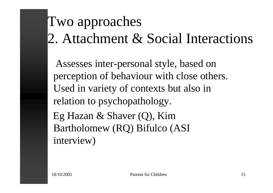# Two approaches 2. Attachment & Social Interactions

Assesses inter-personal style, based on perception of behaviour with close others. Used in variety of contexts but also in relation to psychopathology. Eg Hazan & Shaver (Q), Kim Bartholomew (RQ) Bifulco (ASI interview)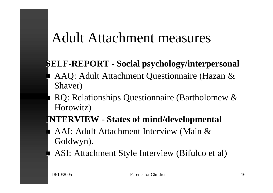### Adult Attachment measures

### **SELF-REPORT - Social psychology/interpersonal**

- n AAQ: Adult Attachment Questionnaire (Hazan & Shaver)
- RQ: Relationships Questionnaire (Bartholomew & Horowitz)
- **INTERVIEW - States of mind/developmental**
- AAI: Adult Attachment Interview (Main & Goldwyn).
- **ASI:** Attachment Style Interview (Bifulco et al)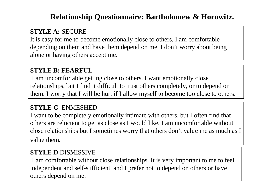#### **Relationship Questionnaire: Bartholomew & Horowitz.**

#### **STYLE A:** SECURE

It is easy for me to become emotionally close to others. I am comfortable depending on them and have them depend on me. I don't worry about being alone or having others accept me.

#### **STYLE B: FEARFUL**:

I am uncomfortable getting close to others. I want emotionally close relationships, but I find it difficult to trust others completely, or to depend on them. I worry that I will be hurt if I allow myself to become too close to others.

#### **STYLE C**: ENMESHED

I want to be completely emotionally intimate with others, but I often find that others are reluctant to get as close as I would like. I am uncomfortable without close relationships but I sometimes worry that others don't value me as much as I value them.

#### **STYLE D**:DISMISSIVE

I am comfortable without close relationships. It is very important to me to feel independent and self-sufficient, and I prefer not to depend on others or have others depend on me.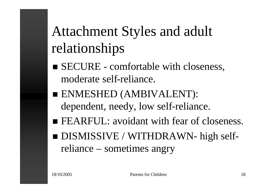# Attachment Styles and adult relationships

- SECURE comfortable with closeness, moderate self-reliance.
- n ENMESHED (AMBIVALENT): dependent, needy, low self-reliance.
- FEARFUL: avoidant with fear of closeness.
- DISMISSIVE / WITHDRAWN- high selfreliance – sometimes angry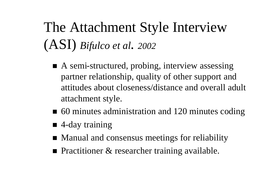# The Attachment Style Interview (ASI) *Bifulco et al*. *<sup>2002</sup>*

- $\blacksquare$  A semi-structured, probing, interview assessing partner relationship, quality of other support and attitudes about closeness/distance and overall adult attachment style.
- $\blacksquare$  60 minutes administration and 120 minutes coding
- $\blacksquare$  4-day training
- Manual and consensus meetings for reliability
- **Practitioner & researcher training available.**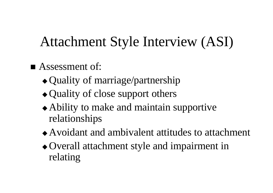### Attachment Style Interview (ASI)

- $\blacksquare$  Assessment of:
	- $\triangle$  Quality of marriage/partnership
	- $\triangleleft$  Quality of close support others
	- $\triangle$  Ability to make and maintain supportive relationships
	- $\triangle$  Avoidant and ambivalent attitudes to attachment
	- Overall attachment style and impairment in relating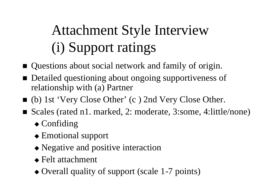# Attachment Style Interview (i) Support ratings

- Questions about social network and family of origin.
- Detailed questioning about ongoing supportiveness of relationship with (a) Partner
- (b) 1st 'Very Close Other' (c) 2nd Very Close Other.
- Scales (rated n1. marked, 2: moderate, 3:some, 4:little/none)
	- $\triangle$  Confiding
	- $\triangle$  Emotional support
	- $\triangle$  Negative and positive interaction
	- $\triangle$  Felt attachment
	- $\triangle$  Overall quality of support (scale 1-7 points)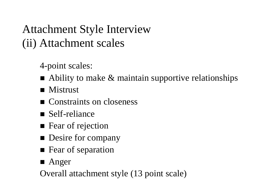Attachment Style Interview (ii) Attachment scales

4-point scales:

- $\blacksquare$  Ability to make & maintain supportive relationships
- $\blacksquare$  Mistrust
- **n** Constraints on closeness
- $\blacksquare$  Self-reliance
- Fear of rejection
- **n** Desire for company
- **n** Fear of separation
- $\blacksquare$  Anger
- Overall attachment style (13 point scale)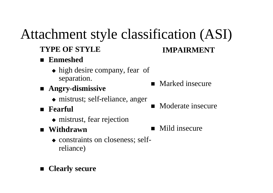# Attachment style classification (ASI)

#### **TYPE OF STYLE**

#### n **Enmeshed**

- $\bullet$  high desire company, fear of separation.
- n **Angry-dismissive**
	- $\bullet$  mistrust; self-reliance, anger
- n **Fearful**
	- $\bullet$  mistrust, fear rejection
- n **Withdrawn**
	- $\bullet$  constraints on closeness; selfreliance)

#### n **Clearly secure**

#### $\blacksquare$  Marked insecure

**IMPAIRMENT**

- Moderate insecure
- $\blacksquare$  Mild insecure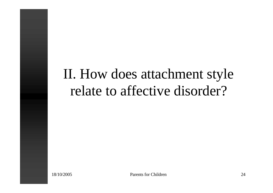### II. How does attachment style relate to affective disorder?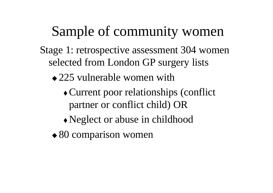### Sample of community women

- Stage 1: retrospective assessment 304 women selected from London GP surgery lists
	- $\triangle$  225 vulnerable women with
		- $\triangle$  Current poor relationships (conflict partner or conflict child) OR
		- $\triangle$  Neglect or abuse in childhood
	- $\triangle$  80 comparison women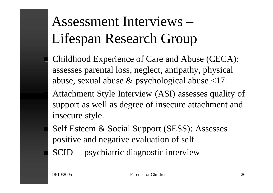# Assessment Interviews – Lifespan Research Group

Childhood Experience of Care and Abuse (CECA): assesses parental loss, neglect, antipathy, physical abuse, sexual abuse & psychological abuse <17.

Attachment Style Interview (ASI) assesses quality of support as well as degree of insecure attachment and insecure style.

Self Esteem & Social Support (SESS): Assesses positive and negative evaluation of self

SCID – psychiatric diagnostic interview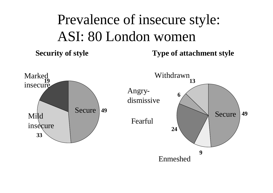# Prevalence of insecure style: ASI: 80 London women

**Security of style Type of attachment style**

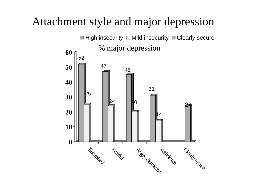### Attachment style and major depression

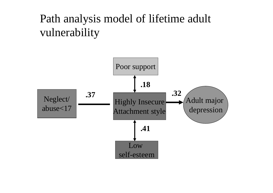### Path analysis model of lifetime adult vulnerability

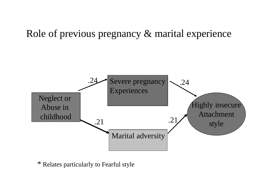### Role of previous pregnancy & marital experience



\* Relates particularly to Fearful style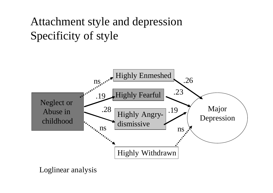### Attachment style and depression Specificity of style



Loglinear analysis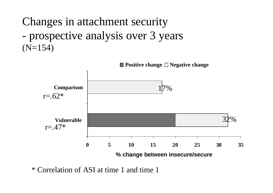Changes in attachment security - prospective analysis over 3 years  $(N=154)$ 



\* Correlation of ASI at time 1 and time 1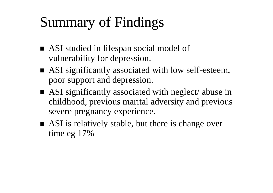# Summary of Findings

- ASI studied in lifespan social model of vulnerability for depression.
- ASI significantly associated with low self-esteem, poor support and depression.
- $\blacksquare$  ASI significantly associated with neglect/ abuse in childhood, previous marital adversity and previous severe pregnancy experience.
- ASI is relatively stable, but there is change over time eg 17%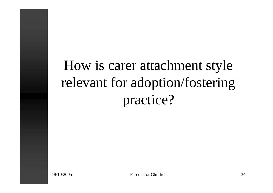How is carer attachment style relevant for adoption/fostering practice?

18/10/2005 Parents for Children 34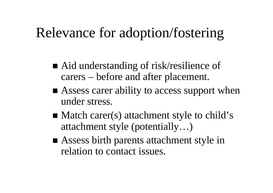### Relevance for adoption/fostering

- Aid understanding of risk/resilience of carers – before and after placement.
- $\blacksquare$  Assess carer ability to access support when under stress.
- $\blacksquare$  Match carer(s) attachment style to child's attachment style (potentially…)
- Assess birth parents attachment style in relation to contact issues.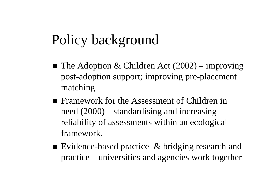### Policy background

- $\blacksquare$  The Adoption & Children Act (2002) improving post-adoption support; improving pre-placement matching
- Framework for the Assessment of Children in need (2000) – standardising and increasing reliability of assessments within an ecological framework.
- Evidence-based practice  $\&$  bridging research and practice – universities and agencies work together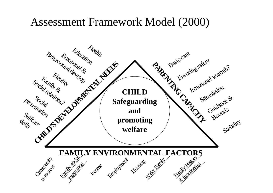### Assessment Framework Model (2000)

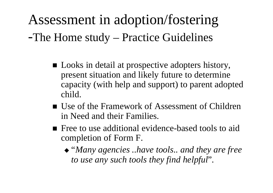Assessment in adoption/fostering -The Home study – Practice Guidelines

- Looks in detail at prospective adopters history, present situation and likely future to determine capacity (with help and support) to parent adopted child.
- Use of the Framework of Assessment of Children in Need and their Families.
- Free to use additional evidence-based tools to aid completion of Form F.
	- <sup>u</sup> "*Many agencies ..have tools.. and they are free to use any such tools they find helpful*".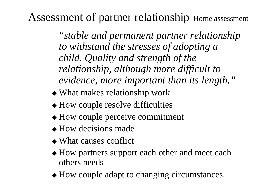Assessment of partner relationship Home assessment

"*stable and permanent partner relationship to withstand the stresses of adopting a child. Quality and strength of the relationship, although more difficult to evidence, more important than its length."*

- $\triangle$  What makes relationship work
- $\triangle$  How couple resolve difficulties
- $\triangle$  How couple perceive commitment
- $\triangle$  How decisions made
- $\bullet$  What causes conflict
- $\triangle$  How partners support each other and meet each others needs
- $\triangle$  How couple adapt to changing circumstances.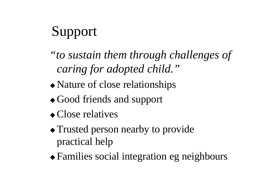# Support

- *"to sustain them through challenges of caring for adopted child."*
- $\triangle$  Nature of close relationships
- $\triangleleft$  Good friends and support
- $\bullet$  Close relatives
- $\triangle$  Trusted person nearby to provide practical help
- $\triangle$  Families social integration eg neighbours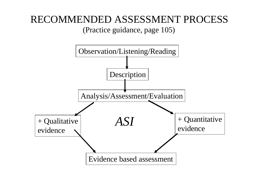### RECOMMENDED ASSESSMENT PROCESS

(Practice guidance, page 105)

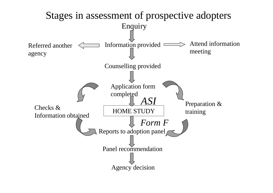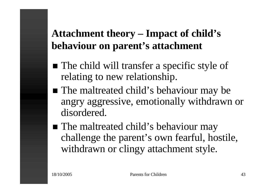### **Attachment theory – Impact of child's behaviour on parent's attachment**

- The child will transfer a specific style of relating to new relationship.
- The maltreated child's behaviour may be angry aggressive, emotionally withdrawn or disordered.
- The maltreated child's behaviour may challenge the parent's own fearful, hostile, withdrawn or clingy attachment style.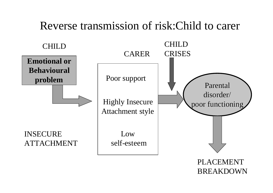### Reverse transmission of risk:Child to carer



PLACEMENT BREAKDOWN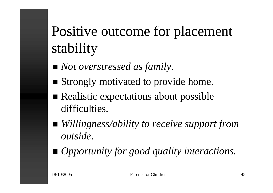# Positive outcome for placement stability

- *Not overstressed as family.*
- Strongly motivated to provide home.
- $\blacksquare$  Realistic expectations about possible difficulties.
- *Willingness/ability to receive support from outside.*
- *Opportunity for good quality interactions.*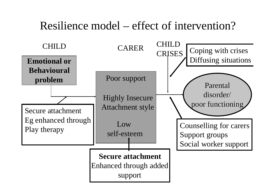### Resilience model – effect of intervention?

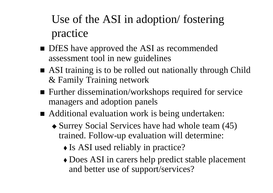### Use of the ASI in adoption/ fostering practice

- DfES have approved the ASI as recommended assessment tool in new guidelines
- ASI training is to be rolled out nationally through Child & Family Training network
- $\blacksquare$  Further dissemination/workshops required for service managers and adoption panels
- Additional evaluation work is being undertaken:
	- $\triangle$  Surrey Social Services have had whole team (45) trained. Follow-up evaluation will determine:
		- $\triangle$  Is ASI used reliably in practice?
		- Does ASI in carers help predict stable placement and better use of support/services?